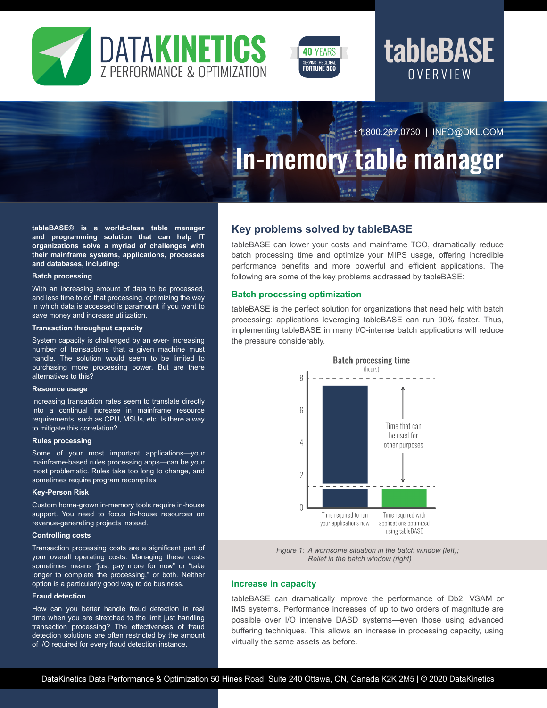



## **OVERVIEW** tableBASE

+1.800.267.0730 | INFO@DKL.COM

# In-memory table manager

**tableBASE® is a world-class table manager and programming solution that can help IT organizations solve a myriad of challenges with their mainframe systems, applications, processes and databases, including:**

#### **Batch processing**

With an increasing amount of data to be processed, and less time to do that processing, optimizing the way in which data is accessed is paramount if you want to save money and increase utilization.

#### **Transaction throughput capacity**

System capacity is challenged by an ever- increasing number of transactions that a given machine must handle. The solution would seem to be limited to purchasing more processing power. But are there alternatives to this?

#### **Resource usage**

Increasing transaction rates seem to translate directly into a continual increase in mainframe resource requirements, such as CPU, MSUs, etc. Is there a way to mitigate this correlation?

#### **Rules processing**

Some of your most important applications—your mainframe-based rules processing apps—can be your most problematic. Rules take too long to change, and sometimes require program recompiles.

#### **Key-Person Risk**

Custom home-grown in-memory tools require in-house support. You need to focus in-house resources on revenue-generating projects instead.

#### **Controlling costs**

Transaction processing costs are a significant part of your overall operating costs. Managing these costs sometimes means "just pay more for now" or "take longer to complete the processing," or both. Neither option is a particularly good way to do business.

#### **Fraud detection**

How can you better handle fraud detection in real time when you are stretched to the limit just handling transaction processing? The effectiveness of fraud detection solutions are often restricted by the amount of I/O required for every fraud detection instance.

## **Key problems solved by tableBASE**

tableBASE can lower your costs and mainframe TCO, dramatically reduce batch processing time and optimize your MIPS usage, offering incredible performance benefits and more powerful and efficient applications. The following are some of the key problems addressed by tableBASE:

#### **Batch processing optimization**

tableBASE is the perfect solution for organizations that need help with batch processing: applications leveraging tableBASE can run 90% faster. Thus, implementing tableBASE in many I/O-intense batch applications will reduce the pressure considerably.



*Figure 1: A worrisome situation in the batch window (left); Relief in the batch window (right)*

### **Increase in capacity**

tableBASE can dramatically improve the performance of Db2, VSAM or IMS systems. Performance increases of up to two orders of magnitude are possible over I/O intensive DASD systems—even those using advanced buffering techniques. This allows an increase in processing capacity, using virtually the same assets as before.